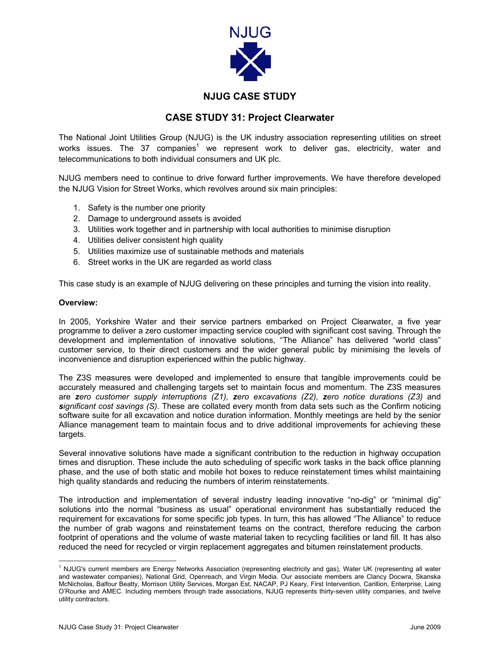

# **NJUG CASE STUDY**

## **CASE STUDY 31: Project Clearwater**

The National Joint Utilities Group (NJUG) is the UK industry association representing utilities on street works issues. The 37 companies<sup>[1](#page-0-0)</sup> we represent work to deliver gas, electricity, water and telecommunications to both individual consumers and UK plc.

NJUG members need to continue to drive forward further improvements. We have therefore developed the NJUG Vision for Street Works, which revolves around six main principles:

- 1. Safety is the number one priority
- 2. Damage to underground assets is avoided
- 3. Utilities work together and in partnership with local authorities to minimise disruption
- 4. Utilities deliver consistent high quality
- 5. Utilities maximize use of sustainable methods and materials
- 6. Street works in the UK are regarded as world class

This case study is an example of NJUG delivering on these principles and turning the vision into reality.

### **Overview:**

In 2005, Yorkshire Water and their service partners embarked on Project Clearwater, a five year programme to deliver a zero customer impacting service coupled with significant cost saving. Through the development and implementation of innovative solutions, "The Alliance" has delivered "world class" customer service, to their direct customers and the wider general public by minimising the levels of inconvenience and disruption experienced within the public highway.

The Z3S measures were developed and implemented to ensure that tangible improvements could be accurately measured and challenging targets set to maintain focus and momentum. The Z3S measures are *zero customer supply interruptions (Z1), zero excavations (Z2), zero notice durations (Z3)* and *significant cost savings (S)*. These are collated every month from data sets such as the Confirm noticing software suite for all excavation and notice duration information. Monthly meetings are held by the senior Alliance management team to maintain focus and to drive additional improvements for achieving these targets.

Several innovative solutions have made a significant contribution to the reduction in highway occupation times and disruption. These include the auto scheduling of specific work tasks in the back office planning phase, and the use of both static and mobile hot boxes to reduce reinstatement times whilst maintaining high quality standards and reducing the numbers of interim reinstatements.

The introduction and implementation of several industry leading innovative "no-dig" or "minimal dig" solutions into the normal "business as usual" operational environment has substantially reduced the requirement for excavations for some specific job types. In turn, this has allowed "The Alliance" to reduce the number of grab wagons and reinstatement teams on the contract, therefore reducing the carbon footprint of operations and the volume of waste material taken to recycling facilities or land fill. It has also reduced the need for recycled or virgin replacement aggregates and bitumen reinstatement products.

<span id="page-0-0"></span> $\frac{1}{1}$ <sup>1</sup> NJUG's current members are Energy Networks Association (representing electricity and gas), Water UK (representing all water and wastewater companies), National Grid, Openreach, and Virgin Media. Our associate members are Clancy Docwra, Skanska McNicholas, Balfour Beatty, Morrison Utility Services, Morgan Est, NACAP, PJ Keary, First Intervention, Carillion, Enterprise, Laing O'Rourke and AMEC. Including members through trade associations, NJUG represents thirty-seven utility companies, and twelve utility contractors.